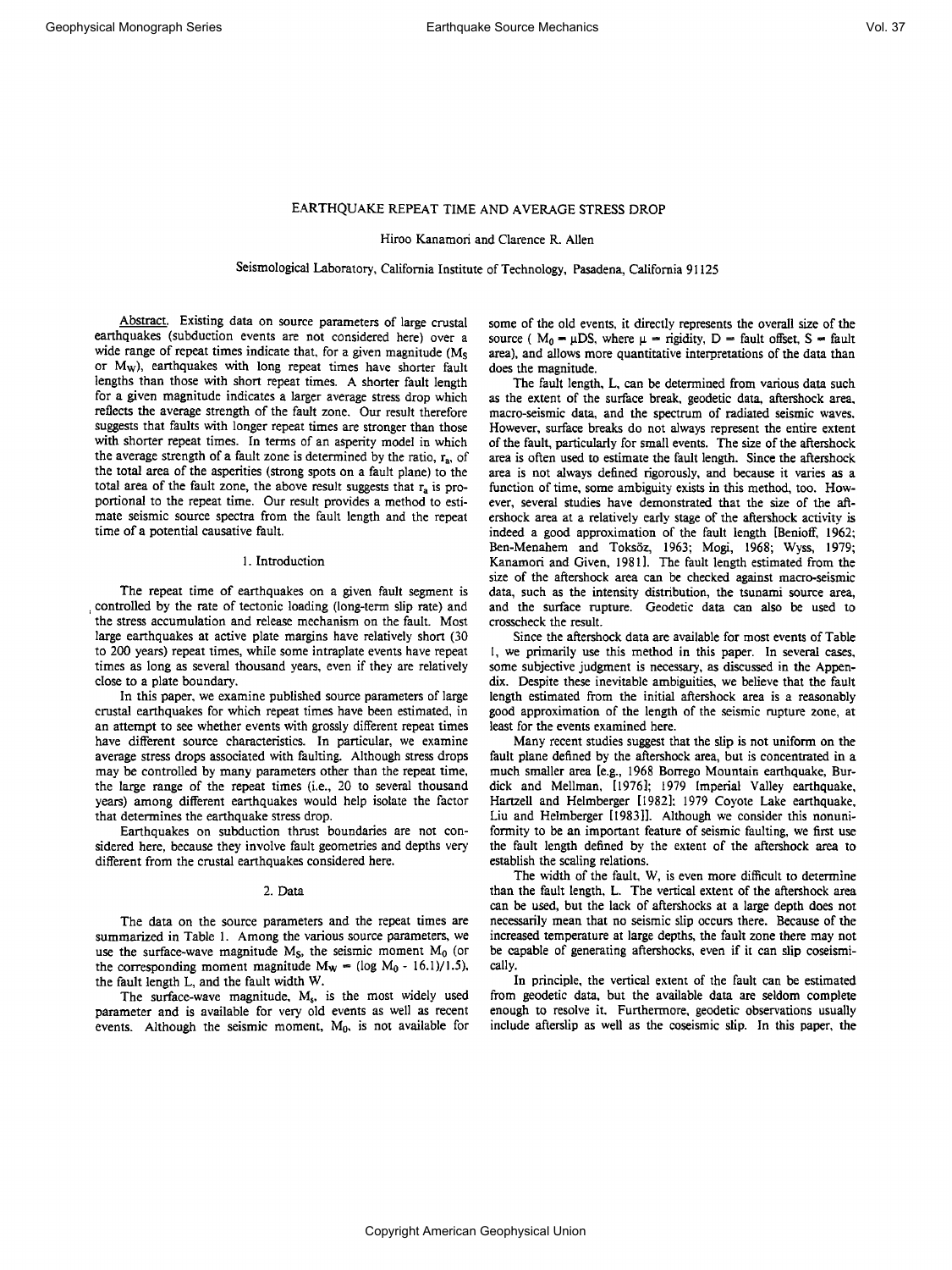**Hiroo Kanamori and Clarence R. Allen** 

**Seismological Laboratory, California Institute of Technology, Pasadena, California 91125** 

**Abstract. Existing data on source parameters of large crustal earthquakes (subduction events are not considered here) over a wide range of repeat imes indicate that, for a given magnitude (Ms or Mw), earthquakes with long repeat times have shorter fault lengths than those with short repeat imes. A shorter fault length for a given magnitude indicates a larger average stress drop which reflects the average strength of the fault zone. Our result therefore suggests that faults with longer repeat times are stronger than those with shorter repeat times. In terms of an asperity model in which the average strength of a fault zone is determined by the ratio, ra, of the total area of the asperities (strong spots on a fault plane) to the**  total area of the fault zone, the above result suggests that r<sub>a</sub> is pro**portional to the repeat time. Our result provides a method to estimate seismic source spectra from the fault length and the repeat time of a potential causative fault.** 

#### **1. Introduction**

**The repeat time of earthquakes on a given fault segment is controlled by the rate of tectonic loading (long-term slip rate) and the stress accumulation and release mechanism on the fault. Most large earthquakes at active plate margins have relatively short (30 to 200 years) repeat times, while some intraplate events have repeat times as long as several thousand years, even if they are relatively close to a plate boundary.** 

**In this paper, we examine published source parameters of large crustal earthquakes for which repeat times have been estimated, in an attempt to see whether events with grossly different repeat times have different source characteristics. In particular, we examine average stress drops associated with faulting. Although stress drops may be controlled by many parameters other than the repeat time, the large range of the repeat times (i.e., 20 to several thousand**  years) among different earthquakes would help isolate the factor **that determines the earthquake stress drop.** 

**Earthquakes on subduction thrust boundaries are not considered here, because they involve fault geometries and depths very different from the crustal earthquakes considered here.** 

#### **2. Data**

**The data on the source parameters and the repeat times are summarized in Table 1. Among the various source parameters, we**  use the surface-wave magnitude  $M<sub>S</sub>$ , the seismic moment  $M<sub>0</sub>$  (or the corresponding moment magnitude  $M_W = (\log M_0 - 16.1)/1.5$ ), **the fault length L, and the fault width W.** 

The surface-wave magnitude, M<sub>s</sub>, is the most widely used **parameter and is available for very old events as well as recent**  events. Although the seismic moment, M<sub>0</sub>, is not available for **some of the old events, it directly represents the overall size of the**  source ( $M_0 - \mu DS$ , where  $\mu -$  rigidity,  $D -$  fault offset,  $S -$  fault **area), and allows more quantitative interpretations of the data than does the magnitude.** 

**The fault length, L, can be determined from various data such as the extent of the surface break, geodetic data, aftershock area, macro-seismic data, and the spectrum of radiated seismic waves. However, surface breaks do not always represent the entire extent of the fault, particularly for small events. The size of the aftershock area is often used to estimate the fault length. Since the aftershock area is not always defined rigorously, and because it varies as a function of time, some ambiguity exists in this method, too. However, several studies have demonstrated that the size of the aftershock area at a relatively early stage of the aftershock activity is indeed a good approximation of the fault length [Benioff, 1962; Ben-Menahem and Toks6z, 1963; Mogi, 1968; Wyss, 1979; Kanamori and Given, 1981]. The fault length estimated from the size of the aftershock area can be checked against macro-seismic data, such as the intensity distribution, the tsunami source area, and the surface rupture. Geodetic data can also be used to crosscheck the result.** 

**Since the aftershock data are available for most events of Table I, we primarily use this method in this paper. In several cases, some subjective judgment is necessary, as discussed in the Appendix. Despite these inevitable ambiguities, we believe that the fault length estimated from the initial aftershock area is a reasonably good approximation of the length of the seismic rupture zone, at least for the events examined here.** 

**Many recent studies suggest hat the slip is not uniform on the fault plane defined by the aftershock area, but is concentrated in a much smaller area [e.g., 1968 Borrego Mountain earthquake, Burdick and Mellman, [1976]; 1979 Imperial Valley earthquake, Hartzell and Helmberger [1982]; 1979 Coyote Lake earthquake, Liu and Helmberger [1983]]. Although we consider this nonuniformity to be an important feature of seismic faulting, we first use the fault length defined by the extent of the aftershock area to establish the scaling relations.** 

**The width of the fault, W, is even more difficult to determine than the fault length, L. The vertical extent of the aftershock area can be used, but the lack of aftershocks at a large depth does not necessarily mean that no seismic slip occurs there. Because of the increased temperature at large depths, the fault zone there may not be capable of generating aftershocks, even if it can slip coseismically.** 

**In principle, the vertical extent of the fault can be estimated from geodetic data, but the available data are seldom complete enough to resolve it. Furthermore, geodetic observations usually include afterslip as well as the coseismic slip. In this paper, the**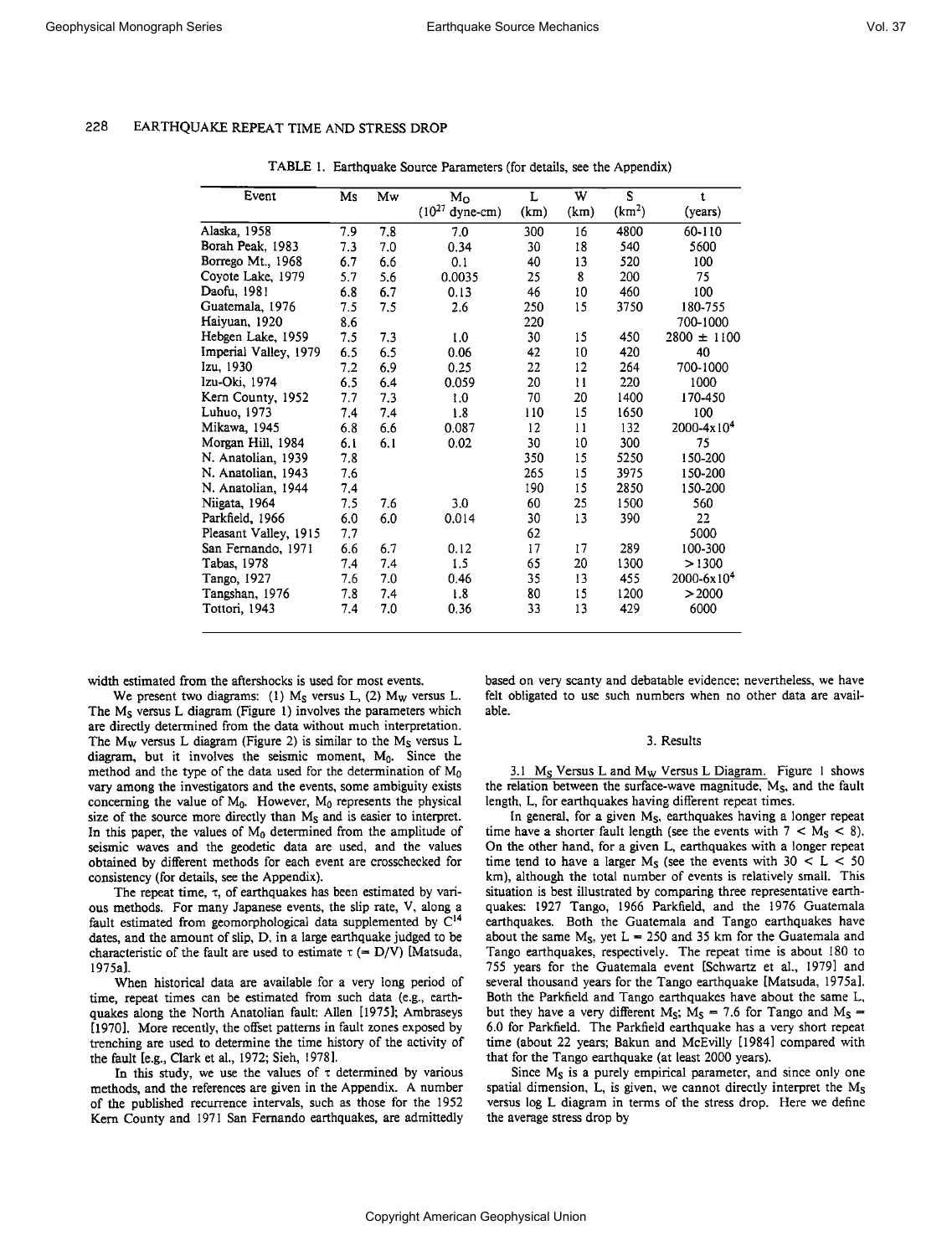| Event                 | Ms  | Mw  | $M_{\odot}$         | L    | W    | S                  | t                      |
|-----------------------|-----|-----|---------------------|------|------|--------------------|------------------------|
|                       |     |     | $(10^{27}$ dyne-cm) | (km) | (km) | (km <sup>2</sup> ) | (years)                |
| Alaska, 1958          | 7.9 | 7.8 | 7.0                 | 300  | 16   | 4800               | 60-110                 |
| Borah Peak, 1983      | 7.3 | 7.0 | 0.34                | 30   | 18   | 540                | 5600                   |
| Borrego Mt., 1968     | 6.7 | 6.6 | 0.1                 | 40   | 13   | 520                | 100                    |
| Coyote Lake, 1979     | 5.7 | 5.6 | 0.0035              | 25   | 8    | 200                | 75                     |
| Daofu, 1981           | 6.8 | 6.7 | 0.13                | 46   | 10   | 460                | 100                    |
| Guatemala, 1976       | 7.5 | 7.5 | 2.6                 | 250  | 15   | 3750               | 180-755                |
| Haiyuan, 1920         | 8.6 |     |                     | 220  |      |                    | 700-1000               |
| Hebgen Lake, 1959     | 7.5 | 7.3 | 1.0                 | 30   | 15   | 450                | $2800 \pm 1100$        |
| Imperial Valley, 1979 | 6.5 | 6.5 | 0.06                | 42   | 10   | 420                | 40                     |
| Izu, 1930             | 7.2 | 6.9 | 0.25                | 22   | 12   | 264                | 700-1000               |
| Izu-Oki, 1974         | 6.5 | 6.4 | 0.059               | 20   | 11   | 220                | 1000                   |
| Kern County, 1952     | 7.7 | 7.3 | 1.0                 | 70   | 20   | 1400               | 170-450                |
| Luhuo, 1973           | 74  | 7.4 | 1.8                 | 110  | 15   | 1650               | 100                    |
| Mikawa, 1945          | 6.8 | 6.6 | 0.087               | 12   | 11   | 132                | 2000-4x10 <sup>4</sup> |
| Morgan Hill, 1984     | 6.1 | 6.1 | 0.02                | 30   | 10   | 300                | 75                     |
| N. Anatolian, 1939    | 7.8 |     |                     | 350  | 15   | 5250               | 150-200                |
| N. Anatolian, 1943    | 7.6 |     |                     | 265  | 15   | 3975               | 150-200                |
| N. Anatolian, 1944    | 7.4 |     |                     | 190  | 15   | 2850               | 150-200                |
| Niigata, 1964         | 7.5 | 7.6 | 3.0                 | 60   | 25   | 1500               | 560                    |
| Parkfield, 1966       | 6.0 | 6.0 | 0.014               | 30   | 13   | 390                | 22                     |
| Pleasant Valley, 1915 | 7,7 |     |                     | 62   |      |                    | 5000                   |
| San Fernando, 1971    | 6.6 | 6.7 | 0.12                | 17   | 17   | 289                | 100-300                |
| Tabas, 1978           | 7.4 | 7.4 | 1.5                 | 65   | 20   | 1300               | >1300                  |
| Tango, 1927           | 7.6 | 7.0 | 0.46                | 35   | 13   | 455                | $2000 - 6x104$         |
| Tangshan, 1976        | 7.8 | 7.4 | 1.8                 | 80   | 15   | 1200               | >2000                  |
| Tottori, 1943         | 7.4 | 7.0 | 0.36                | 33   | 13   | 429                | 6000                   |
|                       |     |     |                     |      |      |                    |                        |

**TABLE 1. Earthquake Source Parameters (for details, see the Appendix)** 

**width estimated from the aftershocks is used for most events.** 

We present two diagrams: (1)  $M<sub>S</sub>$  versus L, (2)  $M<sub>W</sub>$  versus L. **The Ms versus L diagram (Figure 1) involves the parameters which are directly determined from the data without much interpretation.**  The M<sub>w</sub> versus L diagram (Figure 2) is similar to the M<sub>S</sub> versus L diagram, but it involves the seismic moment, M<sub>0</sub>. Since the **method and the type of the data used for the determination of Mo vary among the investigators and the events, some ambiguity exists**  concerning the value of M<sub>0</sub>. However, M<sub>0</sub> represents the physical **size of the source more directly than Ms and is easier to interpret.**  In this paper, the values of  $M_0$  determined from the amplitude of **seismic waves and the geodetic data are used, and the values obtained by different methods for each event are crosschecked for consistency (for details, see the Appendix).** 

The repeat time,  $\tau$ , of earthquakes has been estimated by vari**ous methods. For many Japanese events, the slip rate, V, along a**  fault estimated from geomorphological data supplemented by  $C^{14}$ **dates, and the amount of slip, D, in a large earthquake judged to be**  characteristic of the fault are used to estimate  $\tau$  (= D/V) [Matsuda, **1975a].** 

**When historical data are available for a very long period of time, repeat times can be estimated from such data (e.g., earthquakes along the North Anatolian fault: Allen [1975]; Ambraseys [1970]. More recently, the offset patterns in fault zones exposed by trenching are used to determine the time history. of the activity of the fault [e.g., Clark et al., 1972; Sieh, 1978].** 

**In this study, we use the values of z determined by various methods, and the references are given in the Appendix. A number of the published recurrence intervals, such as those for the 1952 Kern County and 1971 San Fernando earthquakes, are admittedly** 

**based on very scanty and debatable evidence; nevertheless, we have felt obligated to use such numbers when no other data are available.** 

#### **3. Results**

**3.1 Ms Versus L and Mw Versus L Diagram. Figure 1 shows the relation between the surface-wave magnitude, Ms, and the fault length, L, for earthquakes having different repeat times.** 

**In general, for a given Ms, earthquakes having a longer repeat**  time have a shorter fault length (see the events with  $7 < M<sub>S</sub> < 8$ ). **On the other hand, for a given L, earthquakes with a longer repeat**  time tend to have a larger  $M_S$  (see the events with  $30 < L < 50$ **km), although the total number of events is relatively small. This situation is best illustrated by comparing three representative earthquakes: 1927 Tango, 1966 Parkfield, and the 1976 Guatemala earthquakes. Both the Guatemala and Tango earthquakes have**  about the same  $M_s$ , yet  $L = 250$  and 35 km for the Guatemala and **Tango earthquakes, respectively. The repeat time is about 180 to 755 years for the Guatemala event [Schwartz et al., 1979] and several thousand years for the Tango earthquake [Matsuda, 1975a]. Both the Parkfield and Tango earthquakes have about the same L,**  but they have a very different M<sub>S</sub>;  $M_S = 7.6$  for Tango and M<sub>S</sub> = **6.0 for Parkfield. The Parkfield earthquake has a very short repeat time (about 22 years; Bakun and McEvilly [1984] compared with that for the Tango earthquake (at least 2000 years).** 

Since M<sub>s</sub> is a purely empirical parameter, and since only one **spatial dimension, L, is given, we cannot directly interpret the Ms versus log L diagram in terms of the stress drop. Here we define the average stress drop by**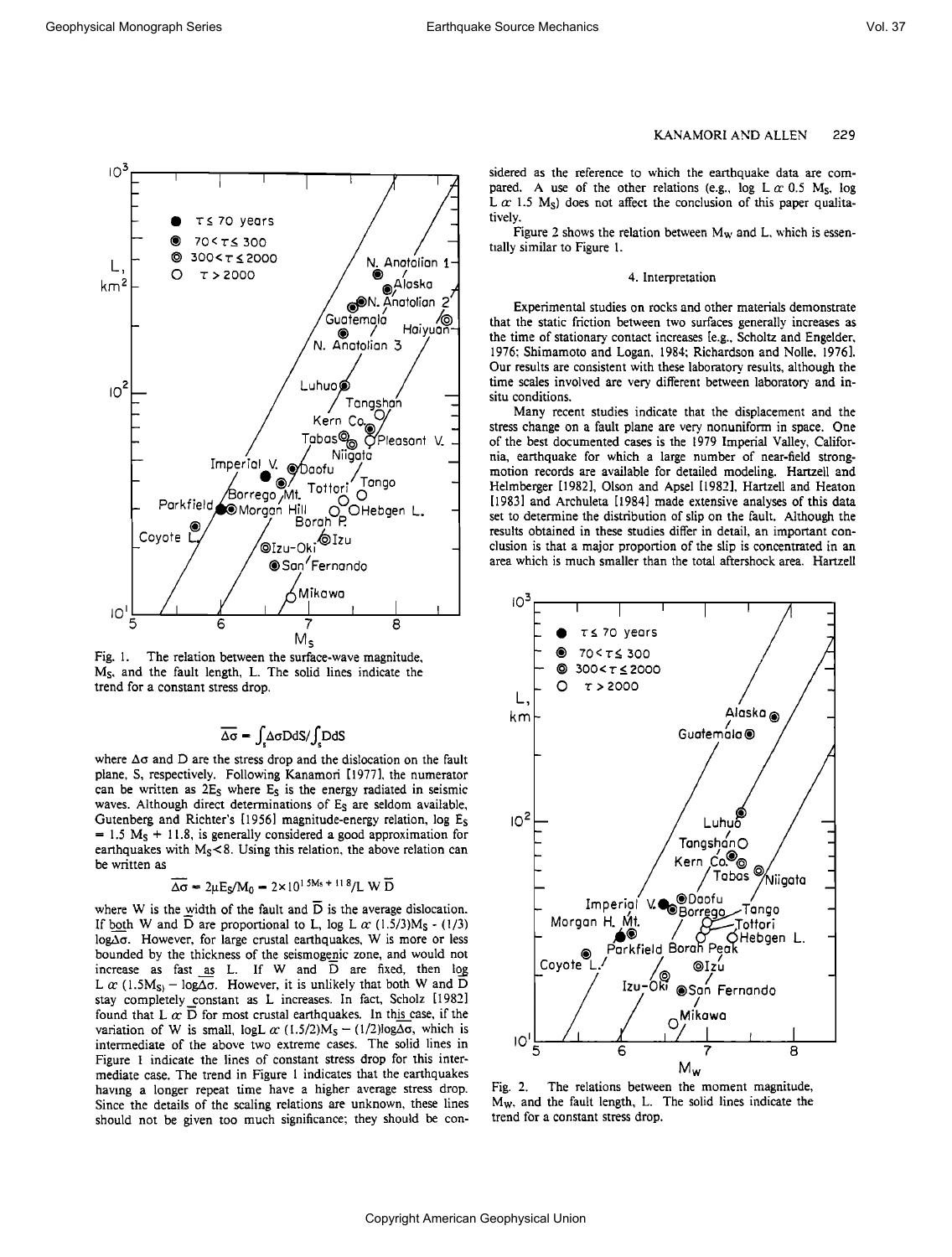

Fig. 1. The relation between the surface-wave magnitude, **Ms, and the fault length, L. The solid lines indicate the trend for a constant stress drop.** 

# $\overline{\Delta\sigma}$  =  $\int \Delta \sigma D dS / \int D dS$

where  $\Delta\sigma$  and  $D$  are the stress drop and the dislocation on the fault **plane, S, respectively. Following Kanamori [1977], the numerator can be written as 2Es where Es is the energy radiated in seismic waves. Although direct determinations of Es are seldom available, Gutenberg and Richter's [1956] magnitude-energy relation, log Es**   $= 1.5 M<sub>S</sub> + 11.8$ , is generally considered a good approximation for earthquakes with M<sub>S</sub> < 8. Using this relation, the above relation can **be written as** 

$$
\Delta \sigma = 2 \mu E_S / M_0 = 2 \times 10^{1.5M_s + 11.8} / L W \overline{D}
$$

where W is the width of the fault and  $\overline{D}$  is the average dislocation. If both W and D are proportional to L, log L  $\alpha$  (1.5/3)M<sub>S</sub> - (1/3) log<sub>Δ</sub> $\sigma$ . However, for large crustal earthquakes, W is more or less bounded by the thickness of the seismogenic zone, and would not  $increases$  as fast as L. If W and  $\overline{D}$  are fixed, then  $\log$ L  $\alpha$  (1.5M<sub>S)</sub> – log $\Delta\sigma$ . However, it is unlikely that both W and D stay completely constant as L increases. In fact, Scholz [1982] found that L  $\alpha \overline{D}$  for most crustal earthquakes. In this case, if the variation of W is small, logL  $\alpha$  (1.5/2)M<sub>S</sub> - (1/2)log $\Delta \sigma$ , which is **intermediate of the above two extreme cases. The solid lines in Figure 1 indicate the lines of constant stress drop for this intermediate case. The trend in Figure 1 indicates that the earthquakes having a longer repeat time have a higher average stress drop. Since the details of the scaling relations are unknown, these lines should not be given too much significance: they should be con-**

## **KANAMORI AND ALLEN 229**

**sidered as the reference to which the earthquake data are com**pared. A use of the other relations (e.g., log  $L \alpha$  0.5 M<sub>S</sub>, log  $L \alpha$  1.5 M<sub>s</sub>) does not affect the conclusion of this paper qualita**tively.** 

**Figure 2 shows the relation between Mw and L, which is essentially similar to Figure 1.** 

#### **4. Interpretation**

**Experimental studies on rocks and other materials demonstrate**  that the static friction between two surfaces generally increases as the time of stationary contact increases [e.g., Scholtz and Engelder, **1976; Shimamoto and Logan, 1984; Richardson and Nolle, 1976].**  Our results are consistent with these laboratory results, although the time scales involved are very different between laboratory and in**situ conditions.** 

**Many recent studies indicate that the displacement and the stress change on a fault plane are very, nonuniform in space. One of the best documented cases is the 1979 Imperial Valley, Califor**nia, earthquake for which a large number of near-field strong**motion records are available for detailed modeling. Hartzell and Helmberger [1982], Olson and Apsel [1982], Hartzell and Heaton [1983] and Archuleta [1984] made extensive analyses of this data set to determine the distribution of slip on the fault. Although the results obtained in these studies differ in detail, an important conclusion is that a major proportion of the slip is concentrated in an area which is much smaller than the total aftershock area. Hartzel!** 



**Fig. 2. The relations between the moment magnitude, Mw. and the fault length, L. The solid lines indicate the trend for a constant stress drop.**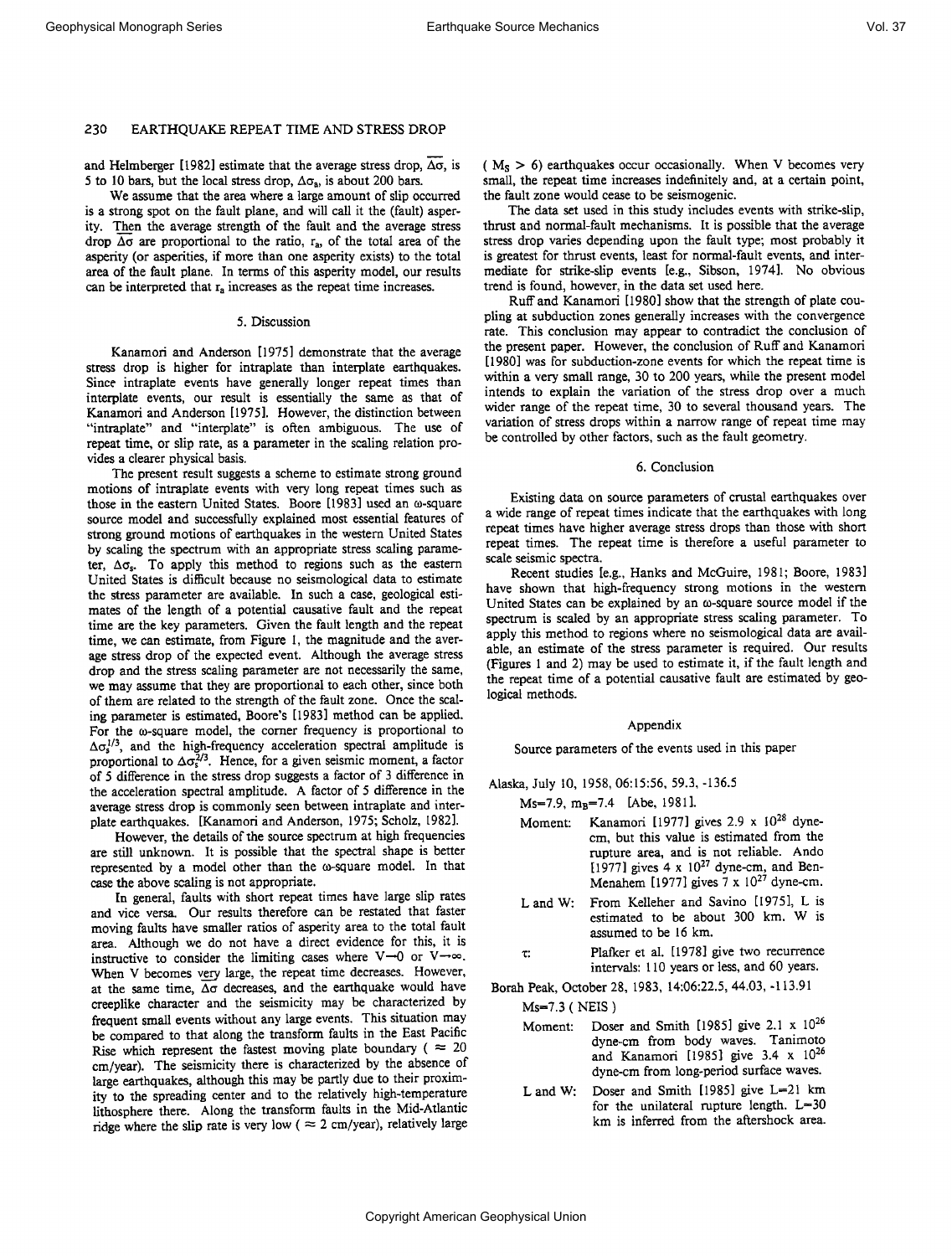**and Helmberger [1982] estimate that the average stress drop, Ao, is**  5 to 10 bars, but the local stress drop,  $\Delta\sigma_a$ , is about 200 bars.

**We assume that the area where a large amount of slip occurred is a strong spot on the fault plane, and will call it the (fault) asper**ity. Then the average strength of the fault and the average stress drop  $\Delta\sigma$  are proportional to the ratio,  $r_a$ , of the total area of the **asperity (or asperities, if more than one asperity exists) to the total area of the fault plane. In terms of this asperity model, our results can be interpreted that ra increases as the repeat time increases.** 

#### **5. Discussion**

**Kanamori and Anderson [1975] demonstrate that the average stress drop is higher for intraplate than interplate earthquakes. Since intraplate events have generally longer repeat times than interplate events, our result is essentially the same as that of Kanamori and Anderson [1975]. However, the distinction between "intraplate" and "interplate" is often ambiguous. The use of repeat time, or slip rate, as a parameter in the scaling relation provides a clearer physical basis.** 

**The present result suggests a scheme to estimate strong ground motions of intraplate events with very long repeat times such as those in the eastern United States. Boore [1983] used an to-square source model and successfully explained most essential features of strong ground motions of earthquakes in the western United States by scaling the spectrum with an appropriate stress scaling parame**ter,  $\Delta \sigma_s$ . To apply this method to regions such as the eastern **United States is difficult because no seismological data to estimate the stress parameter are available. In such a case, geological estimates of the length of a potential causative fault and the repeat time are the key parameters. Given the fault length and the repeat time, we can estimate, from Figure 1, the magnitude and the average stress drop of the expected event. Although the average stress drop and the stress scaling parameter are not necessarily the same, we may assume that they are proportional to each other, since both of them are related to the strength of the fault zone. Once the scaling parameter is estimated, Boore's [1983] method can be applied.**  For the  $\omega$ -square model, the corner frequency is proportional to  $\Delta \sigma_s^{1/3}$ , and the high-frequency acceleration spectral amplitude is proportional to  $\Delta \sigma_s^{2/3}$ . Hence, for a given seismic moment, a factor **of 5 difference in the stress drop suggests a factor of 3 difference in the acceleration spectral amplitude. A factor of 5 difference in the average stress drop is commonly seen between intraplate and interplate earthquakes. [Kanamori and Anderson, 1975; Scholz, 1982].** 

**However, the details of the source spectrum at high frequencies are still unknown. It is possible that the spectral shape is better**  represented by a model other than the  $\omega$ -square model. In that **case the above scaling is not appropriate.** 

**In general, faults with short repeat times have large slip rates and vice versa. Our results therefore can be restated that faster moving faults have smaller atios of asperity area to the total fault area. Although we do not have a direct evidence for this, it is**  instructive to consider the limiting cases where  $V\rightarrow 0$  or  $V\rightarrow \infty$ . When V becomes very large, the repeat time decreases. However, **at the same time, Ao decreases, and the earthquake would have creeplike character and the seismicity may be characterized by frequent small events without any large events. This situation may be compared to that along the transform faults in the East Pacific**  Rise which represent the fastest moving plate boundary ( $\approx 20$ **cm/year). The seismicity there is characterized by the absence of**  large earthquakes, although this may be partly due to their proxim**ity to the spreading center and to the relatively high-temperature lithosphere there. Along the transform faults in the Mid-Atlantic**  ridge where the slip rate is very low ( $\approx$  2 cm/year), relatively large **( Ms > 6) earthquakes occur occasionally. When V becomes very, small, the repeat time increases indefinitely and, at a certain point, the fault zone would cease to be seismogenic.** 

**The data set used in this study includes events with strike-slip, thrust and normal-fault mechanisms. It is possible that the average stress drop varies depending upon the fault type; most probably it is greatest for thrust events, least for normal-fault events, and intermediate for strike-slip events [e.g., Sibson, 1974]. No obvious trend is found, however, in the data set used here.** 

Ruff and Kanamori [1980] show that the strength of plate cou**pling at subduction zones generally increases with the convergence rate. This conclusion may appear to contradict the conclusion of the present paper. However, the conclusion of Ruff and Kanamori [1980] was for subduction-zone events for which the repeat time is within a very small range, 30 to 200 years, while the present model intends to explain the variation of the stress drop over a much wider range of the repeat time, 30 to several thousand years. The variation of stress drops within a narrow range of repeat time may be controlled by other factors, such as the fault geometry.** 

### **6. Conclusion**

**Existing data on source parameters of crustal earthquakes over a wide range of repeat times indicate that the earthquakes with long repeat times have higher average stress drops than those with short repeat times. The repeat time is therefore a useful parameter to scale seismic spectra.** 

**Recent studies [e.g., Hanks and McGuire, 1981; Boore, 1983] have shown that high-frequency strong motions in the western**  United States can be explained by an  $\omega$ -square source model if the **spectrum is scaled by an appropriate stress scaling parameter. To apply this method to regions where no seismological data are available, an estimate of the stress parameter is required. Our results (Figures 1 and 2) may be used to estimate it, if the fault length and the repeat time of a potential causative fault are estimated by geological methods.** 

#### **Appendix**

**Source parameters of the events used in this paper** 

**Alaska, July 10, 1958, 06:15:56, 59.3,-136.5** 

**Ms=7.9, m<sub>B</sub>=7.4 [Abe, 1981].** 

- Moment: Kanamori [1977] gives 2.9 x 10<sup>28</sup> dyne**cm, but this value is estimated from the rupture area, and is not reliable. Ando**  [1977] gives  $4 \times 10^{27}$  dyne-cm, and Ben-**Menahem [1977] gives**  $7 \times 10^{27}$  **dyne-cm.**
- L and W: From Kelleher and Savino [1975], L is **estimated to be about 300 km. W is assumed to be 16 km.**
- **z: Plafker et al. [1978] give two recurrence intervals: 110 years or less, and 60 years.**

**Borah Peak, October 28, 1983, 14:06:22.5, 44.03,-113.91** 

**Ms--7.3 ( NEIS )** 

- **Moment: Doser and Smith [1985] give 2.1 x 1026 dyne-cm from body waves. Tanimoto and Kanamori [1985] give 3.4 x 1026 dyne-cm from long-period surface waves.**
- L and W: Doser and Smith [1985] give L=21 km for the unilateral rupture length. L=30 **km is inferred from the aftershock area.**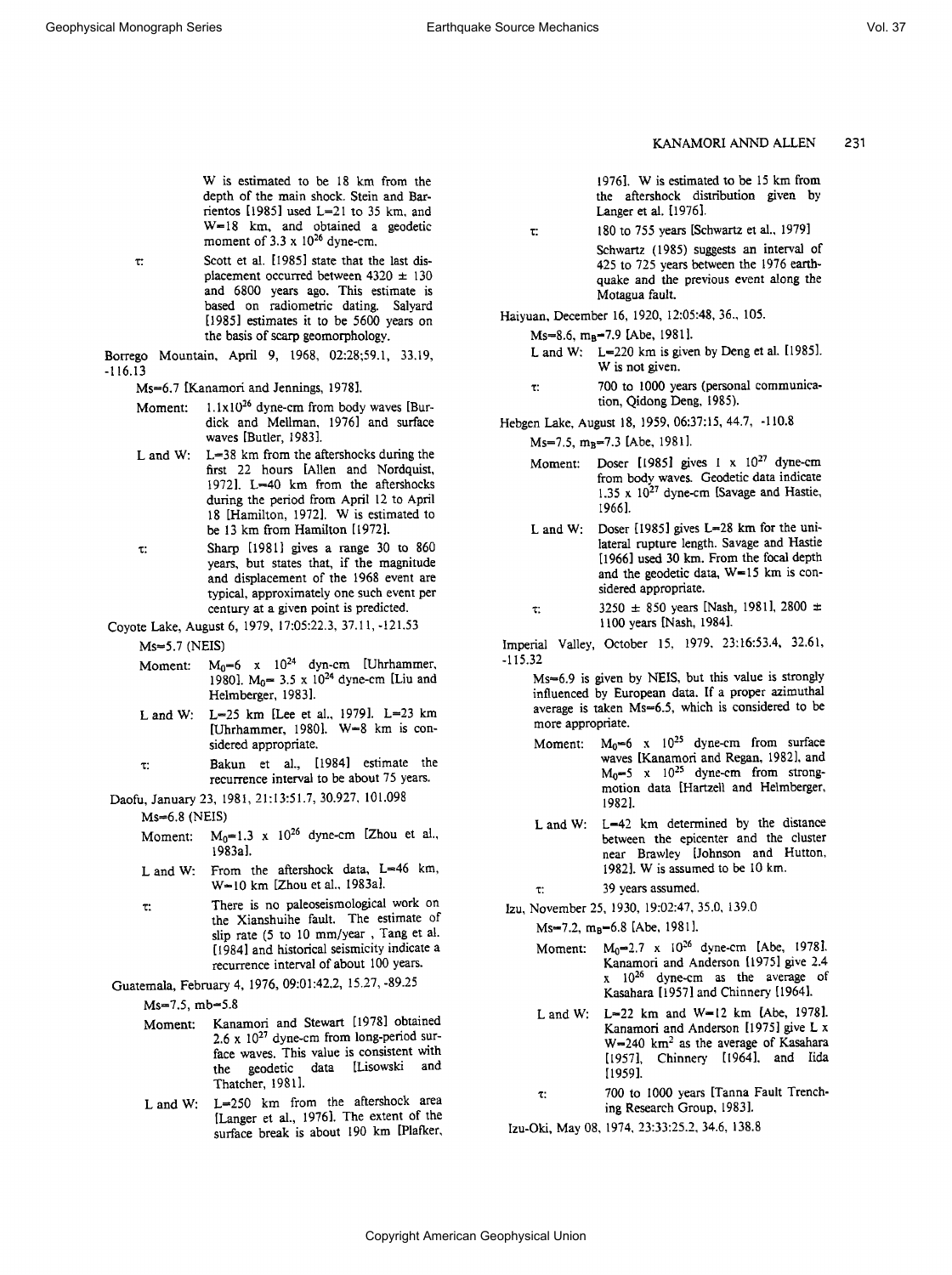**KANAMORI ANND ALLEN 231** 

**W is estimated to be 18 km from the depth of the main shock. Stein and Barrientos [1985] used L--21 to 35 km, and W--18 km, and obtained a geodetic**  moment of  $3.3 \times 10^{26}$  dyne-cm.

**z: Scott et al. [I985] state that the last dis**placement occurred between  $4320 \pm 130$ **and 6800 years ago. This estimate is based on radiometric dating. Salyard [1985] estimates it to be 5600 years on the basis of scarp geomorphology.** 

**Borrego Mountain, April 9, 1968, 02:28;59.1, 33.19, -ll6.13** 

Ms=6.7 [Kanamori and Jennings, 1978].

- Moment: 1.1x10<sup>26</sup> dyne-cm from body waves [Bur**dick and Mellman, 1976] and surface waves [Butler, 1983].**
- L and W: L=38 km from the aftershocks during the **first 22 hours [Allen and Nordquist, 19721. L-•40 km from the aftershocks during the period from April 12 to April 18 [Hamilton, 1972]. W is estimated to be 13 km from Hamilton [1972].**
- **z: Sharp [19811 gives a range 30 to 860 years, but states that, if the magnitude and displacement of the 1968 event are typical, approximately one such event per century at a given point is predicted.**
- **Coyote Lake, August 6, 1979, 17:05:22.3, 37.11,-121.53 Ms--5.7 (NEIS)** 
	- Moment:  $M_0=6$  x  $10^{24}$  dyn-cm [Uhrhammer,
		- 1980].  $M_0$ = 3.5 x 10<sup>24</sup> dyne-cm [Liu and **Helmberger, 1983].**
	- L and W: L=25 km [Lee et al., 1979]. L=23 km [Uhrhammer, 1980]. W=8 km is con**sidered appropriate.**
	- **z: Bakun et al., [1984] estimate the recurrence interval to be about 75 years.**
- **Daofu, January 23, 1981, 21:13:51.7, 30.927, 101.098**

 $Ms=6.8$  (NEIS)

- Moment:  $M_0=1.3 \times 10^{26}$  dyne-cm [Zhou et al., **1983a].**
- L and W: From the aftershock data, L=46 km, **W--10 km [Zhou et al., 1983a].**
- **z: There is no paleoseismological work on the Xianshuihe fault. The estimate of**  slip rate (5 to 10 mm/year, Tang et al. **[I 984] and historical seismicity indicate a recurrence interval of about 100 years.**

**Guatemala, February 4, 1976, 09:01:42.2, 15.27,-89.25** 

Ms=7.5, mb=5.8

- **Moment: Kanamori and Stewart [1978] obtained**  2.6 x 10<sup>27</sup> dyne-cm from long-period sur**face waves. This value is consistent with the geodetic data [Lisowski and Thatcher, 19811.**
- L and W: L=250 km from the aftershock area **[Langer et al., 1976]. The extent of the surface break is about 190 km [Plafker,**

**1976]. W is estimated to be 15 km from the aftershock distribution given by Langer et al. [1976].** 

**z: 180 to 755 years [Schwartz et al., 1979] Schwartz (1985) suggests an interval of 425 to 725 years between the 1976 earthquake and the previous event along the Motagua fault.** 

**Haiyuan, December 16, 1920, 12:05:48, 36., 105.** 

Ms=8.6, m<sub>B</sub>=7.9 [Abe, 1981].

- L and W: L=220 km is given by Deng et al. [1985]. **W is not given.**
- **r: 700 to 1000 years (personal communication, Qidong Deng, 1985).**
- **Hebgen Lake, August 18, 1959, 06:37:15, 44.7, -110.8 Ms=7.5, m<sub>R</sub>=7.3 [Abe, 1981].** 
	- Moment: Doser [1985] gives 1 x 10<sup>27</sup> dyne-cm **from body waves. Geodetic data indicate 1.35 x 1027 dyne-cm [Savage and Hastie, 19661.**
	- L and W: Doser [1985] gives L=28 km for the uni**lateral rupture length. Savage and Hastie [1966] used 30 km. From the focal depth**  and the geodetic data, W=15 km is con**sidered appropriate.**
	- $\tau$ : 3250  $\pm$  850 years [Nash, 1981], 2800  $\pm$ **1100 years [Nash, 1984].**

**Imperial Valley, October 15, 1979, 23:16:53.4, 32.61, -115.32** 

**Ms--6.9 is given by NEIS, but this value is strongly influenced by European data. If a proper azimuthal**  average is taken Ms=6.5, which is considered to be **more appropriate.** 

- Moment:  $M_0=6$  x  $10^{25}$  dyne-cm from surface **waves [Kanamori and Regan, 1982], and M0--5 x 102s dyne-cm from strongmotion data [Hartzell and Helmberger, 1982].**
- L and W: L=42 km determined by the distance **between the epicenter and the cluster near Brawley [Johnson and Hutton, 1982]. W is assumed to be I0 km.**

**•: 39 years assumed.** 

**Izu, November 25, 1930, 19:02:47, 35.0, 139.0** 

Ms=7.2, m<sub>B</sub>=6.8 [Abe, 1981].

- **Moment: M0•2.7 X I026 dyne-cm [Abe, 1978]. Kanamori and Anderson [l 975] give 2.4 x 1026 dyne-cm as the average of**  Kasahara [1957] and Chinnery [1964].
- L and W: L=22 km and W=12 km [Abe, 1978]. **Kanamori and Anderson [1975] give L x**  W=240 km<sup>2</sup> as the average of Kasahara [1957], Chinnery [1964], and Iida **[1959].**
- **z: 700 to I000 years [Tanna Fault Trenching Research Group, 1983].**

**Izu-Oki, May 08, 1974, 23:33:25.2, 34.6, 138.8**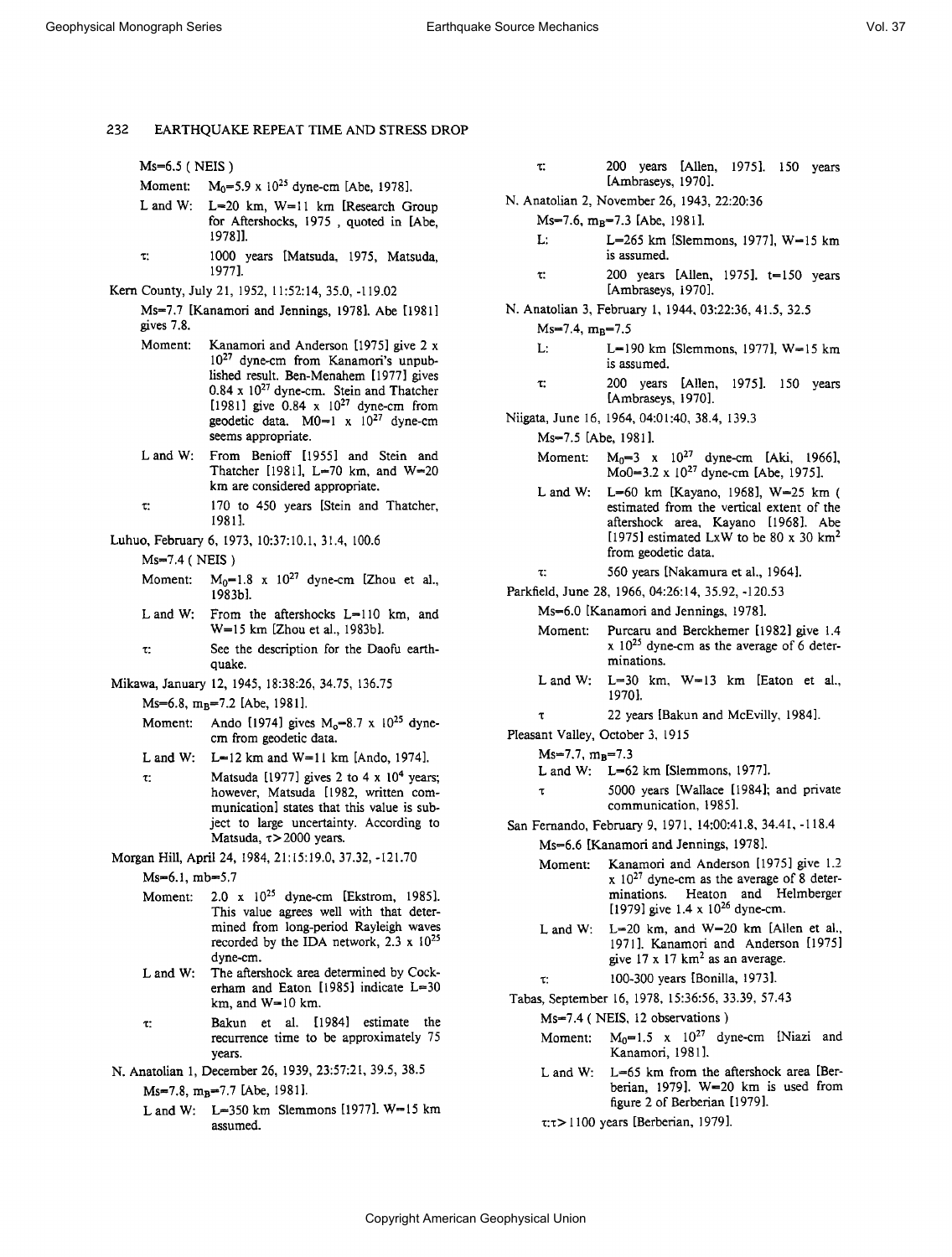**Ms•6.5 ( NEIS )** 

- **Moment:** M<sub>0</sub>=5.9 x 10<sup>25</sup> dyne-cm [Abe, 1978].
- L and W: L=20 km, W=11 km [Research Group **for Aftershocks, 1975 , quoted in [Abe, 19781].**
- **z: 1000 years [Matsuda, 1975, Matsuda, i977].**
- **Kern County, July 21, 1952, 11:52:14, 35.0, -119.02**

**Ms--7.7 [Kanamori and Jennings, 1978]. Abe [198!] gives 7.8.** 

- **Moment: Kanamori and Anderson [1975] give 2 x 10 27 dyne-cm from Kanamori's unpublished result. Ben-Menahem [ 1977] gives**  0.84 x 10<sup>27</sup> dyne-cm. Stein and Thatcher  $[1981]$  give  $0.84 \times 10^{27}$  dyne-cm from geodetic data. M0=1 x 10<sup>27</sup> dyne-cm **seems appropriate.**
- **Land W: From Benioff [1955] and Stein and Thatcher [1981], L=70 km, and W-20 km are considered appropriate.**
- **z: 170 to 450 years [Stein and Thatcher, 1981].**
- **Luhuo, February 6, 1973, 10:37:10.1, 31.4, 100.6** 
	- **Ms-•7.4 ( NEIS )**
	- **Moment:**  $M_0=1.8$  x  $10^{27}$  dyne-cm [Zhou et al., **198361.**
	- L and W: From the aftershocks L=110 km, and **W-- 15 km [Zhou et al., 1983b].**
	- **z: See the description for the Daofu earthquake.**
- **Mikawa, January 12, 1945, 18:38:26, 34.75, 136.75** 
	- Ms-6.8, m<sub>B</sub>-7.2 [Abe, 1981].
	- Moment: Ando [1974] gives M<sub>o</sub>=8.7 x 10<sup>25</sup> dyne**cm from geodetic data.**
	- L and W: L=12 km and W=11 km [Ando, 1974].
	- $\tau$ : Matsuda [1977] gives 2 to 4 x 10<sup>4</sup> years; **however, Matsuda [1982, written communication] states that this value is subject to large uncertainty. According to**  Matsuda,  $\tau$  > 2000 years.
- **Morgan Hill, April 24, 1984, 21:15:19.0, 37.32, -121.70** 
	- Ms-6.1, mb=5.7
	- **Moment: 2.0 x 1025 dyne-cm [Ekstrom, 1985]. This value agrees well with that determined from long-period Rayleigh waves recorded by the IDA network, 2.3 x 1025 dyne-cm.**
	- **L and W: The aftershock area determined by Cock**erham and Eaton [1985] indicate L=30 **km, and W• 10 km.**
	- **z: Bakun et al. [1984] estimate the recurrence time to be approximately 75 years.**
- **N. Anatolian 1, December 26, 1939, 23:57:21, 39.5, 38.5** 
	- Ms=7.8, m<sub>R</sub>=7.7 [Abe, 1981].
		- **L and W: L--350 km Slemmons [1977]. W--15 km assumed.**
- **z: 200 years [Allen, 1975]. 150 years [Ambraseys, 1970].**
- **N. Anatolian 2, November 26, 1943, 22:20:36** 
	- Ms=7.6, m<sub>B</sub>=7.3 [Abe, 1981].
		- L: L=265 km [Slemmons, 1977], W=15 km **is assumed.**
		- **z: 200 years [Allen, 1975]. t--150 years [Ambraseys, 1970].**
- **N. Anatolian 3, February I, 1944, 03:22:36, 41.5, 32.5** 
	- **Ms=7.4, m•=7.5** 
		- L: L=190 km [Slemmons, 1977], W=15 km **is assumed.**
		- **z: 200 years [Allen, 1975]. 150 years [Ambraseys, 1970].**
- **Niigata, June 16, 1964, 04:01:40, 38.4, 139.3** 
	- **Ms=7.5 [Abe, 1981 ].** 
		- **Moment:**  $M_0=3$  x  $10^{27}$  dyne-cm [Aki, 1966], Mo0=3.2 x 10<sup>27</sup> dyne-cm [Abe, 1975].
		- L and W: L=60 km [Kayano, 1968], W=25 km ( **estimated from the vertical extent of the aftershock area, Kayano [1968]. Abe [1975] estimated LxW to be 80 x 30 km 2 from geodetic data.**
		- **z: 560 years [Nakamura et al., 1964].**
- **Parkfield, June 28, 1966, 04:26:14, 35.92, -120.53**

Ms=6.0 [Kanamori and Jennings, 1978].

- **Moment: Purcaru and Berckhemer [1982] give 1.4 x 1025 dyne-cm as the average of 6 determinations.**
- **Land W: L-30 km, W•-13 km [Eaton et al., 1970].**
- **z 22 years [Bakun and McEvilly, 1984].**
- **Pleasant Valley, October 3, 1915** 
	- **Ms--7.7, m•--7.3** 
		- L and W: L=62 km [Slemmons, 1977].
		- **5000 years [Wallace [1984]; and private communication, 1985].**
- **San Fernando, February 9, 1971, 14:00:41.8, 34.41, 118.4 Ms--6.6 [Kanamori and Jennings, 1978].** 
	- **Moment: Kanamori and Anderson [1975] give 1.2 x 10 27 dyne-cm as the average of 8 determinations. Heaton and Helmberger**  [1979] give 1.4 x 10<sup>26</sup> dyne-cm.
	- **L and W: L=20 km, and W-20 km [Allen et al., 1971 ]. Kanamori and Anderson [1975]**  give  $17 \times 17$  km<sup>2</sup> as an average.
	- **z: !00-300 years [Bonilla, 1973].**

**Tabas, September 16, 1978, 15:36:56, 33.39, 57.43** 

- **Ms--7.4 ( NEIS, 12 observations )**
- Moment:  $M_0=1.5 \times 10^{27}$  dyne-cm [Niazi and **Kanamori, 1981 ].**
- **L and W: L=65 km from the aftershock area [Ber**berian, 1979]. W=20 km is used from **figure 2 of Berberian [1979 ].**

**z:z> 1100 years [Berberian, 1979].**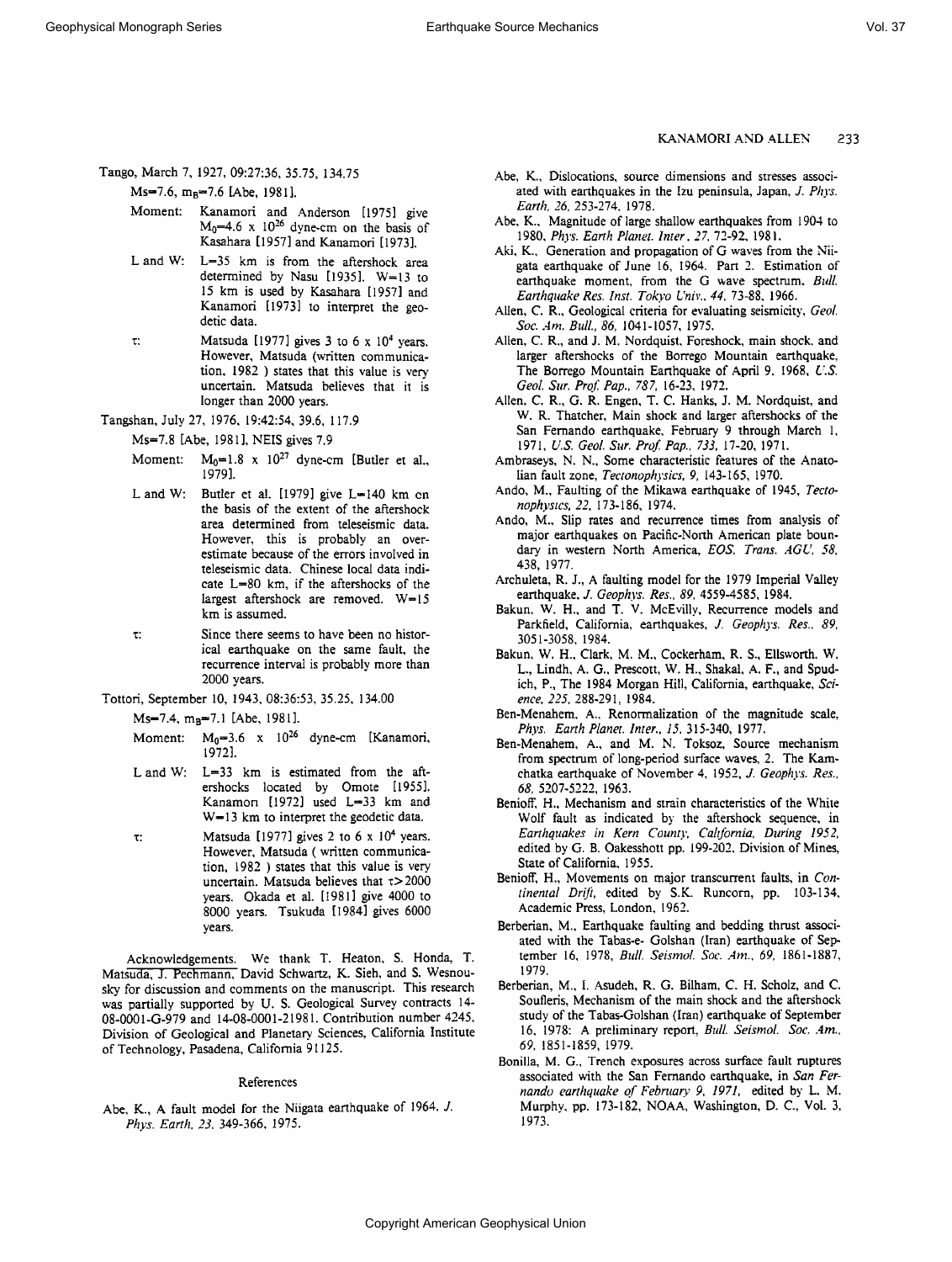**Tango, March 7, 1927, 09:27:36, 35.75, 134.75** 

Ms=7.6, m<sub>B</sub>=7.6 [Abe, 1981].

- **Moment: Kanamori and Anderson [1975] give**   $M_0$ =4.6 x  $10^{26}$  dyne-cm on the basis of **Kasahara [1957] and Kanamori [1973].**
- **L and W: L=35 km is from the aftershock area determined by Nasu [1935]. W--13 to 15 km is used by Kasahara [1957] and Kanamori [1973] to interpret the geodetic data.**
- $\tau$ : Matsuda [1977] gives 3 to 6 x 10<sup>4</sup> vears. **However, Matsuda (written communication, 1982 ) states that this value is very uncertain. Matsuda believes that it is longer than 2000 years.**
- **Tangsham July 27, 1976, 19:42:54, 39.6, 117.9**

**Ms=7.8 [Abe, 1981], NEIS gives 7.9** 

- Moment:  $M_0=1.8 \times 10^{27}$  dyne-cm [Butler et al., **1979].**
- L and W: Butler et al. [1979] give L=140 km en **the basis of the extent of the aftershock area determined from teleseismic data. However, this is probably an overestimate because of the errors involved in teleseismic data. Chinese local data indi**cate L=80 km, if the aftershocks of the largest aftershock are removed. W=15 **km is assumed.**
- **z: Since there seems to have been no historical earthquake on the same fault, the recurrence interval is probably more than 2000 years.**
- **Tottori, September 10, 1943, 08:36:53, 35.25, 134.00**

Ms-7.4, m<sub>B</sub>-7.1 [Abe, 1981].

- Moment: M<sub>0</sub>=3.6 x 10<sup>26</sup> dyne-cm [Kanamori, **19721.**
- L and W: L=33 km is estimated from the aft**ershocks located by Omote [1955]. Kanamori [1972] used L=33 km and**  W=13 km to interpret the geodetic data.
- **z: Matsuda [1977] gives 2 to 6 x 104 years. However, Matsuda ( written communication, 1982 ) states that this value is very uncertain. Matsuda believes that z>2000 years. Okada et al. [19811 give 4000 to 8000 years. Tsukuda [1984] gives 6000 years.**

**Acknowledgements. We thank T. Heaton, S. Honda, T. Matsuda, J. Pechmann, David Schwartz, K. Sieh, and S. Wesnousky for discussion and comments on the manuscript. This research was partially supported by U.S. Geological Survey contracts 14- 08-0001-G-979 and 14-08-0001-21981. Contribution number 4245, Division of Geological and Planetary. Sciences, California Institute of Technology, Pasadena, California 91125.** 

#### **References**

**Abe, K., A fault model for the Niigata earthquake of 1964, J. Phys. Earth, 23, 349-366, 1975.** 

#### **•KANAMORI AND ALLEN 233**

- **Abe, K., Dislocations, source dimensions and stresses associated with earthquakes in the Izu peninsula, Japan, J. Phys. Earth, 26, 253-274, 1978.**
- **Abe, K., Magnitude of large shallow earthquakes from 1904 to 1980, Phys. Eartit Planet. Inter., 27, 72-92, 1981.**
- Aki, K., Generation and propagation of G waves from the Nii**gata earthquake of June 16, 1964. Part 2. Estimation of earthquake moment, from the G wave spectrum, Bull. Earthquake Res. Inst. Tokyo Univ., 44. 73-88, 1966.**
- Allen, C. R., Geological criteria for evaluating seismicity, Geol. **Soc. Am. Bull., 86, 1041-1057, 1975.**
- **Allen, C. R., and J. M. Nordquist, Foreshock, main shock, and**  larger aftershocks of the Borrego Mountain earthquake, **The Borrego Mountain Earthquake of April 9, I968, U.S.**  Geol. Sur. Prof. Pap., 787, 16-23, 1972.
- **Allen, C. R., G. R. Engen, T. C. Hanks, J. M. Nordquist, and W. R. Thatcher, Main shock and larger aftershocks of the San Fernando earthquake, February 9 through March 1, 1971, L•.S. Geol. Stir. Prof Pap., 733, 17-20, 1971.**
- **Ambraseys, N. N., Some characteristic features of the Anato**lian fault zone, Tectonophysics, 9, 143-165, 1970.
- **Ando, M., Faulting of the Mikawa earthquake of 1945, Tectonophysics, 22, 173-186, 1974.**
- Ando, M., Slip rates and recurrence times from analysis of **major earthquakes on Pacific-North American plate boundary in western North America, EOS. Trans. AGU, 58, 438, 1977.**
- Archuleta, R. J., A faulting model for the 1979 Imperial Valley **earthquake, J. Geophys. Re3'., 89, 4559-4585, 1984.**
- **Bakun, W. H., and T. V. McEvilly, Recurrence models and**  Parkfield, California, earthquakes, J. Geophys. Res., 89, **3051-3058, 1984.**
- **Bakun, W. H., Clark, M. M., Cockerham, R. S., Ellsworth, W. L., Lindh, A. G., Prescott, W. H., Shakal, A. F., and Spud**ich, P., The 1984 Morgan Hill, California, earthquake, Sci**ence, 225, 288-291, 1984.**
- **Ben-Menahem, A., Renormalization of the magnitude scale, Phys. Earth Planet. Inter., 15. 315-340, 1977.**
- **Ben-Menahem, A., and M. N. Toksoz, Source mechanism**  from spectrum of long-period surface waves, 2. The Kam**chatka earthquake of November 4, 1952, J. Geophys. Res., 68, 5207-5222, 1963.**
- **Benioff, H., Mechanism and strain characteristics of the White Wolf fault as indicated by the aftershock sequence, in**  Earthquakes in Kern County, California, During 1952, **edited by G. B. Oakesshott pp. 199-202, Division of Mines, State of California, 1955.**
- Benioff, H., Movements on major transcurrent faults, in Continental Drift, edited by S.K. Runcorn, pp. 103-134, **Academic Press, London, 1962.**
- Berberian, M., Earthquake faulting and bedding thrust associ**ated with the Tabas-e- Golshan (Iran) earthquake of September 16, 1978, Bull. Seismol. Soc. Am., 69, 1861-1887, 1979.**
- **Berbefian, M., 1. Asudeh, R. G. Bilham, C. H. Scholz, and C. Soufieris, Mechanism of the main shock and the aftershock study of the Tabas-Golshan (Iran) earthquake of September**  16, 1978: A preliminary report, *Bull. Seismol. Soc. Am.*, **69, 1851-1859, 1979.**
- **Bonilla, M. G., Trench exposures across surface fault ruptures associated with the San Fernando earthquake, in San Fer**nando earthquake of February 9, 1971, edited by L. M. **Murphy, pp. 173-182, NOAA, Washington, D.C., Vol. 3, 1973.**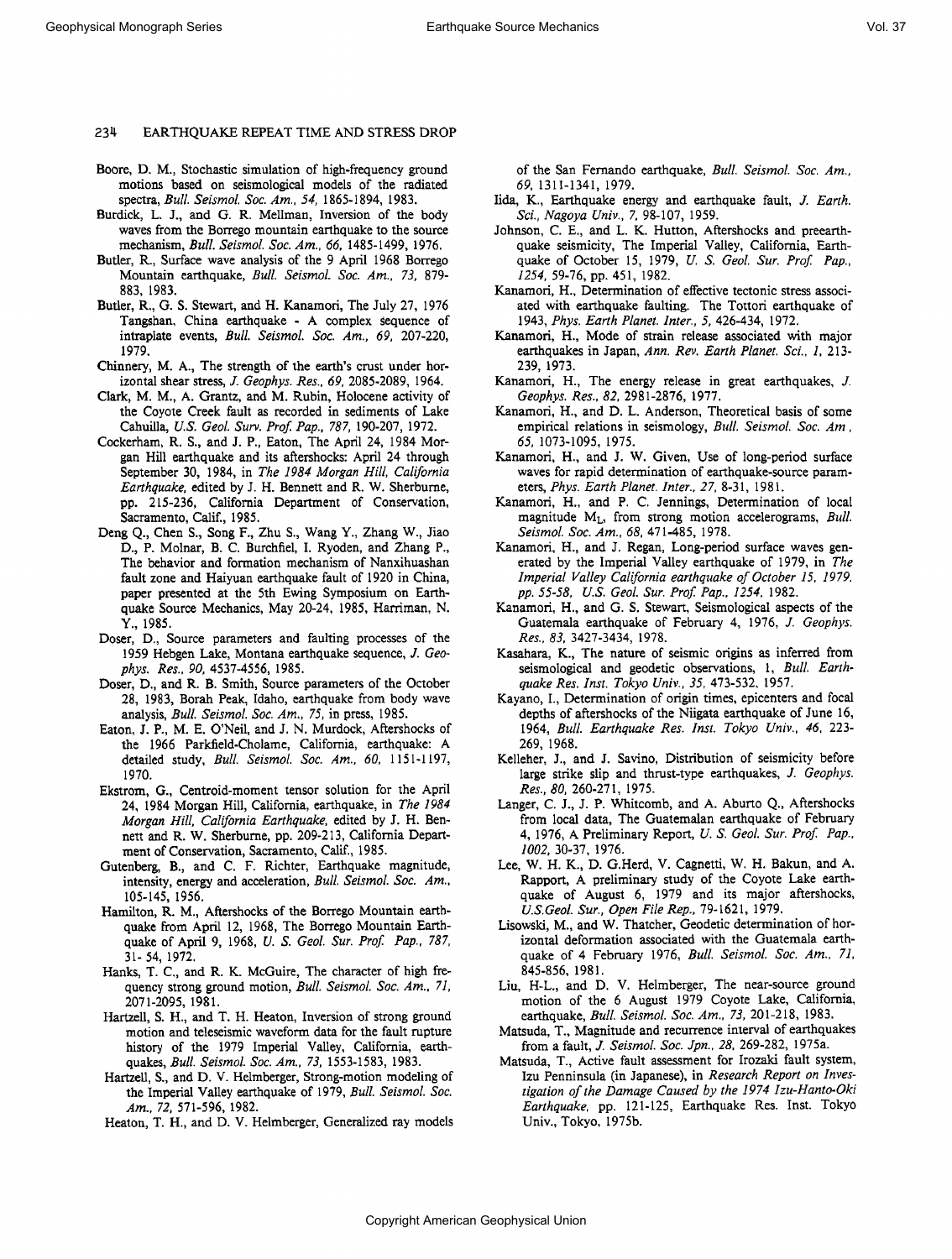- **Boore, D. M., Stochastic simulation of high-frequency ground motions based on seismological models of the radiated spectra, Bull. Seismol. Soc. Am., 54, 1865-1894, 1983.**
- **Burdick, L. J., and G. R. Mellman, Inversion of the body waves from the Borrego mountain earthquake to the source mechanism, Bull. Seismol. Soc. Am., 66, 1485-1499, 1976.**
- **Butler, R., Surface wave analysis of the 9 April 1968 Borrego Mountain earthquake, Bull. Seismol. Soc. Am., 73, 879- 883, 1983.**
- **Butler, R., G. S. Stewart, and H. Kanamori, The July 27, 1976 Tangsham China earthquake- A complex sequence of intraplate events, Bull. Seismol. Soc. Am., 69, 207-220, 1979.**
- Chinnery, M. A., The strength of the earth's crust under hor**izontal shear stress, J. Geophys. Res., 69, 2085-2089, 1964.**
- **Clark, M. M., A. Grantz, and M. Rubin, Holocene activity of the Coyote Creek fault as recorded in sediments of Lake Cahuilla, U.S. Geol. Surv. Prof Pap., 787, 190-207, 1972.**
- **Cockerham, R. S., and J.P., Eaton, The April 24, 1984 Morgan Hill earthquake and its aftershocks: April 24 through September 30, 1984, in The I984 Morgan Hill, California Earthquake, edited by J. H. Bennett and R. W. Sherburne, pp. 215-236, California Department of Conservation, Sacramento, Calif., 1985.**
- **Deng Q., Chen S., Song F., Zhu S., Wang Y., Zhang W., Jiao D., P. Molnar, B.C. Burchfiel, I. Ryoden, and Zhang P., The behavior and formation mechanism of Nanxihuashan fault zone and Haiyuan earthquake fault of 1920 in China, paper presented at the 5th Ewing Symposium on Earth**quake Source Mechanics, May 20-24, 1985, Harriman, N. **Y., 1985.**
- **Doser, D., Source parameters and faulting processes of the 1959 Hebgen Lake, Montana earthquake sequence, J. Geophys. Res., 90, 4537-4556, 1985.**
- **Doser, D., and R. B. Smith, Source parameters of the October 28, 1983, Borah Peak, Idaho, earthquake from body wave analysis, Bull. Seismol. Soc. Am., 75, in press, 1985.**
- **Eaton, J.P., M. E. O'Neil, and J. N. Murdock, Aftershocks of the 1966 Parkfield-Cholame, California, earthquake: A detailed study, Bull. Seismol. Soc. Am., 60, 1151-1197, 1970.**
- Ekstrom, G., Centroid-moment tensor solution for the April **24, 1984 Morgan Hill, California, earthquake, in The 1984 Morgan Hill, California Earthquake, edited by J. H. Bennett and R. W. Sherburne, pp. 209-213, California Department of Conservation, Sacramento, Calif., 1985.**
- **Gutenberg, B., and C. F. Richter, Earthquake magnitude, intensity, energy and acceleration, Bull. Seismol. Soc. Am., 105-145, 1956.**
- **Hamilton, R. M., Aftershocks of the Borrego Mountain earthquake from April 12, 1968, The Borrego Mountain Earthquake of April 9, 1968, U.S. Geol. Sur. Prof Pap., 787, 31- 54, 1972.**
- **Hanks, T. C., and R. K. McGuire, The character of high frequency strong ground motion, Bull. Seismol. Soc. Am., 7I, 2071-2095, !981.**
- **Hartzell, S. H., and T. H. Heaton, Inversion of strong ground motion and teleseismic waveform data for the fault rupture history of the 1979 Imperial Valley, California, earthquakes, Bull. Seismol. Soc. Am., 73, 1553-1583, 1983.**
- **Hartzell, S., and D. V. Helmberger, Strong-motion modeling of the Imperial Valley earthquake of 1979, Bull. Seismol. Soc. Am., 72, 571-596, 1982.**
- **Heaton, T. H., and D. V. Helmberger, Generalized ray models**

**of the San Fernando earthquake, Bull. Seismol. Soc. Am., 69, 1311-1341, 1979.** 

- **Iida, K., Earthquake energy and earthquake fault, J. Earth. Sci., Nagoya Univ., 7, 98-107, 1959.**
- **Johnson, C. E., and L. K. Hutton, Aftershocks and preearthquake seismicity, The Imperial Valley, California, Earth**quake of October 15, 1979, U. S. Geol. Sur. Prof. Pap., **1254, 59-76, pp. 451, 1982.**
- **Kanamori, H., Determination of effective tectonic stress associated with earthquake faulting. The Tottori earthquake of 1943, Phys. Earth Planet. Inter., 5, 426-434, 1972.**
- **Kanamori, H., Mode of strain release associated with major earthquakes in Japan, Ann. Rev. Earth Planet. Sci., 1, 213- 239, 1973.**
- **Kanamori, H., The energy release in great earthquakes, J. Geophys. Res., 82, 2981-2876, 1977.**
- **Kanamori, H., and D. L. Anderson, Theoretical basis of some empirical relations in seismology, Bull. Seismol. Soc. Am., 65, 1073-1095, 1975.**
- **Kanamofi, H., and J. W. Given, Use of long-period surface waves for rapid determination of earthquake-source parameters, Phys. Earth Planet. Inter., 27, 8-31, 1981.**
- **Kanamori, H., and P. C. Jennings, Determination of local**  magnitude M<sub>L</sub>, from strong motion accelerograms, Bull. **Seismol. Soc. Am., 68, 471-485, 1978.**
- Kanamori, H., and J. Regan, Long-period surface waves gen**erated by the Imperial Valley earthquake of 1979, in The Imperial Valley California earthquake of October I5, I979, pp. 55-58, U.S. Geol. Sur. Prof. Pap., I254, 1982.**
- **Kanamofi, H., and G. S. Stewart, Seismological aspects of the Guatemala earthquake of February 4, 1976, J. Geophys. Res., 83, 3427-3434, 1978.**
- **Kasahara, K., The nature of seismic origins as inferred from seismological and geodetic observations, 1, Bull. Earthquake Res. Inst. Tokyo Univ., 35, 473-532, 1957.**
- **Kayano, I., Determination of origin times, epicenters and focal depths of aftershocks of the Niigata earthquake of June 16,**  1964, Bull. Earthquake Res. Inst. Tokyo Univ., 46, 223-**269, 1968.**
- **Kelleher, J., and J. Savino, Distribution of seismicity before large strike slip and thrust-type earthquakes, J. Geophys. Res., 80, 260-271, 1975.**
- Langer, C. J., J. P. Whitcomb, and A. Aburto Q., Aftershocks from local data, The Guatemalan earthquake of February 4, 1976, A Preliminary Report, U. S. Geol. Sur. Prof. Pap., **1002, 30-37, 1976.**
- **Lee, W. H. K., D. G.Herd, V. Cagnetti, W. H. Bakun, and A. Rapport, A preliminary study of the Coyote Lake earthquake of August 6, 1979 and its major aftershocks, U.S. Geol. Sur., Open File Rep., 79-1621, 1979.**
- **Lisowski, M., and W. Thatcher, Geodetic determination of horizontal deformation associated with the Guatemala earthquake of 4 February 1976, Bull. Seismol. Soc. Am., 7I, 845-856, 1981.**
- **Liu, H-L., and D. V. Helmberger, The near-source ground motion of the 6 August 1979 Coyote Lake, California, earthquake, Bull. Seismol. Soc. Am., 73, 201-218, 1983.**
- **Matsuda, T., Magnitude and recurrence interval of earthquakes from a fault, J. Seismol. Soc. Jpn., 28, 269-282, 1975a.**
- **Matsuda, T., Active fault assessment for Irozaki fault system, Izu Penninsula (in Japanese), in Research Report on Investigation of the Damage Caused by the 1974 Izu-Hanto-Oki Earthquake, pp. 121-125, Earthquake Res. Inst. Tokyo Univ., Tokyo, 1975b.**